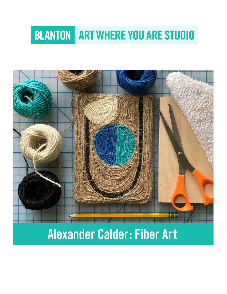# **BLANTON ART WHERE YOU ARE STUDIO**



Alexander Calder: Fiber Art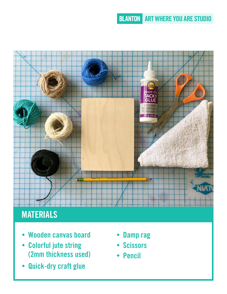## **BLANTON ART WHERE YOU ARE STUDIO**



# **MATERIALS**

- Wooden canvas board
- Colorful jute string (2mm thickness used)
- Quick-dry craft glue
- Damp rag
- Scissors
- Pencil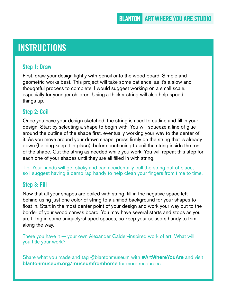# **INSTRUCTIONS**

#### Step 1: Draw

First, draw your design lightly with pencil onto the wood board. Simple and geometric works best. This project will take some patience, as it's a slow and thoughtful process to complete. I would suggest working on a small scale, especially for younger children. Using a thicker string will also help speed things up.

#### Step 2: Coil

Once you have your design sketched, the string is used to outline and fill in your design. Start by selecting a shape to begin with. You will squeeze a line of glue around the outline of the shape first, eventually working your way to the center of it. As you move around your drawn shape, press firmly on the string that is already down (helping keep it in place), before continuing to coil the string inside the rest of the shape. Cut the string as needed while you work. You will repeat this step for each one of your shapes until they are all filled in with string.

Tip: Your hands will get sticky and can accidentally pull the string out of place, so I suggest having a damp rag handy to help clean your fingers from time to time.

#### Step 3: Fill

Now that all your shapes are coiled with string, fill in the negative space left behind using just one color of string to a unified background for your shapes to float in. Start in the most center point of your design and work your way out to the border of your wood canvas board. You may have several starts and stops as you are filling in some uniquely-shaped spaces, so keep your scissors handy to trim along the way.

There you have it — your own Alexander Calder-inspired work of art! What will you title your work?

Share what you made and tag @blantonmuseum with #ArtWhereYouAre and visit [blantonmuseum.org/museumfromhome](http://blantonmuseum.org/museumfromhome) for more resources.